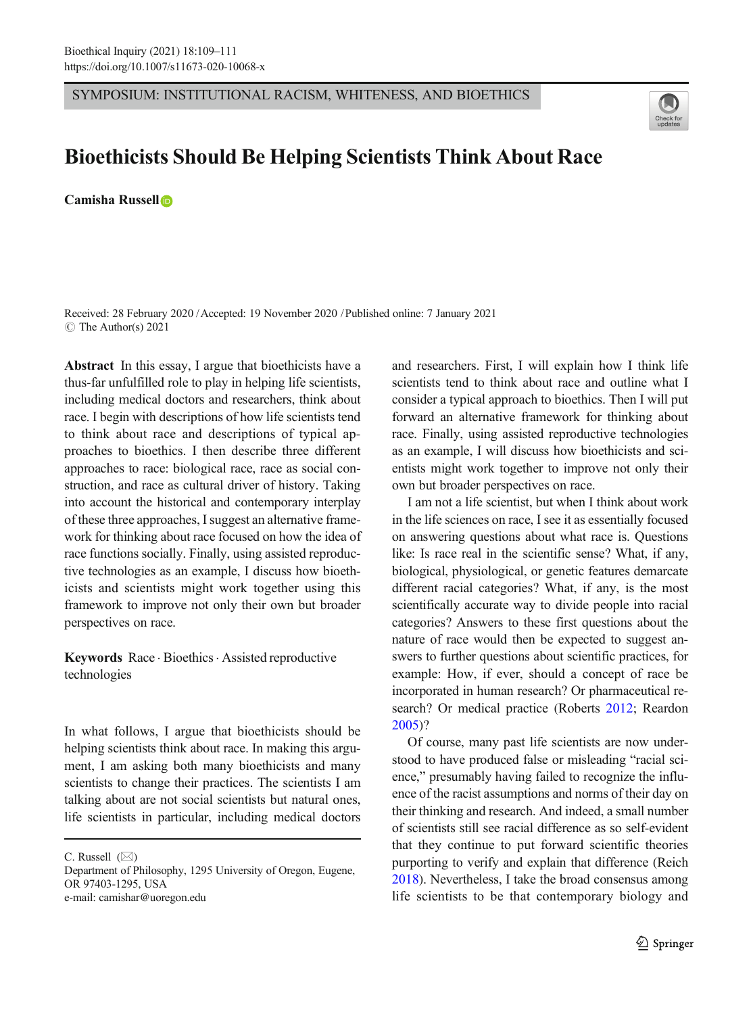SYMPOSIUM: INSTITUTIONAL RACISM, WHITENESS, AND BIOETHICS



## Bioethicists Should Be Helping Scientists Think About Race

Camisha Russell

Received: 28 February 2020 /Accepted: 19 November 2020 /Published online: 7 January 2021 $\circ$  The Author(s) 2021

Abstract In this essay, I argue that bioethicists have a thus-far unfulfilled role to play in helping life scientists, including medical doctors and researchers, think about race. I begin with descriptions of how life scientists tend to think about race and descriptions of typical approaches to bioethics. I then describe three different approaches to race: biological race, race as social construction, and race as cultural driver of history. Taking into account the historical and contemporary interplay of these three approaches, I suggest an alternative framework for thinking about race focused on how the idea of race functions socially. Finally, using assisted reproductive technologies as an example, I discuss how bioethicists and scientists might work together using this framework to improve not only their own but broader perspectives on race.

Keywords  $Race \cdot Bioethics \cdot Assisted \cdot reproductive$ technologies

In what follows, I argue that bioethicists should be helping scientists think about race. In making this argument, I am asking both many bioethicists and many scientists to change their practices. The scientists I am talking about are not social scientists but natural ones, life scientists in particular, including medical doctors

C. Russell  $(\boxtimes)$ 

Department of Philosophy, 1295 University of Oregon, Eugene, OR 97403-1295, USA e-mail: camishar@uoregon.edu

and researchers. First, I will explain how I think life scientists tend to think about race and outline what I consider a typical approach to bioethics. Then I will put forward an alternative framework for thinking about race. Finally, using assisted reproductive technologies as an example, I will discuss how bioethicists and scientists might work together to improve not only their own but broader perspectives on race.

I am not a life scientist, but when I think about work in the life sciences on race, I see it as essentially focused on answering questions about what race is. Questions like: Is race real in the scientific sense? What, if any, biological, physiological, or genetic features demarcate different racial categories? What, if any, is the most scientifically accurate way to divide people into racial categories? Answers to these first questions about the nature of race would then be expected to suggest answers to further questions about scientific practices, for example: How, if ever, should a concept of race be incorporated in human research? Or pharmaceutical research? Or medical practice (Roberts [2012](#page-2-0); Reardon [2005](#page-2-0))?

Of course, many past life scientists are now understood to have produced false or misleading "racial science," presumably having failed to recognize the influence of the racist assumptions and norms of their day on their thinking and research. And indeed, a small number of scientists still see racial difference as so self-evident that they continue to put forward scientific theories purporting to verify and explain that difference (Reich [2018](#page-2-0)). Nevertheless, I take the broad consensus among life scientists to be that contemporary biology and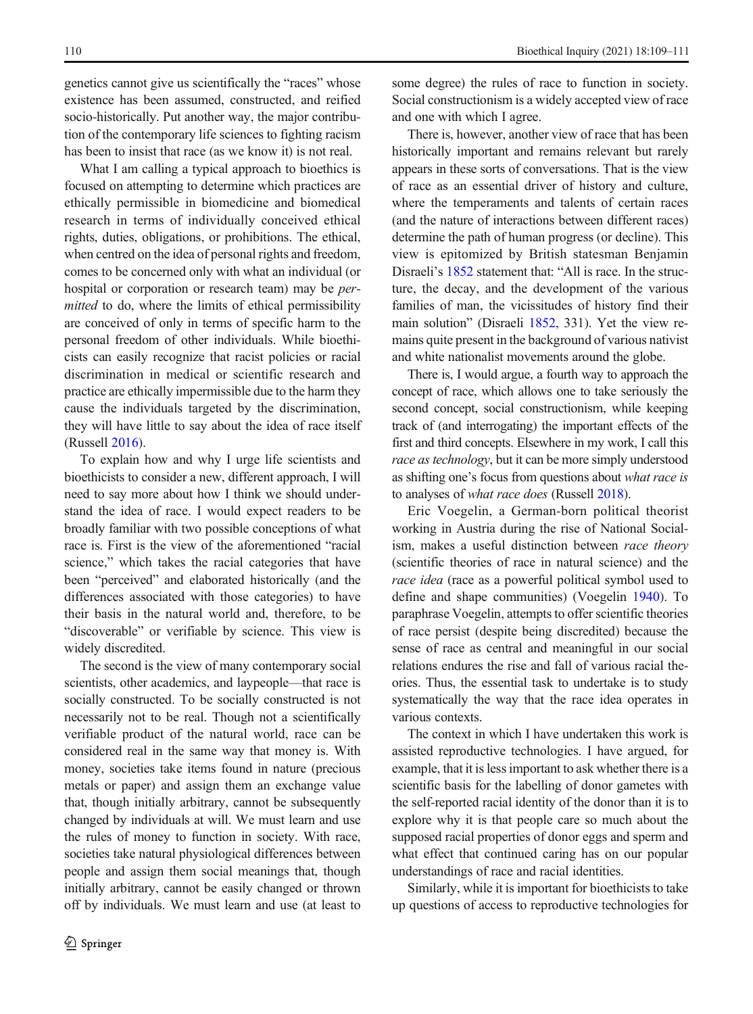genetics cannot give us scientifically the "races" whose existence has been assumed, constructed, and reified socio-historically. Put another way, the major contribution of the contemporary life sciences to fighting racism has been to insist that race (as we know it) is not real.

What I am calling a typical approach to bioethics is focused on attempting to determine which practices are ethically permissible in biomedicine and biomedical research in terms of individually conceived ethical rights, duties, obligations, or prohibitions. The ethical, when centred on the idea of personal rights and freedom, comes to be concerned only with what an individual (or hospital or corporation or research team) may be *per*mitted to do, where the limits of ethical permissibility are conceived of only in terms of specific harm to the personal freedom of other individuals. While bioethicists can easily recognize that racist policies or racial discrimination in medical or scientific research and practice are ethically impermissible due to the harm they cause the individuals targeted by the discrimination, they will have little to say about the idea of race itself (Russell [2016\)](#page-2-0).

To explain how and why I urge life scientists and bioethicists to consider a new, different approach, I will need to say more about how I think we should understand the idea of race. I would expect readers to be broadly familiar with two possible conceptions of what race is. First is the view of the aforementioned "racial science," which takes the racial categories that have been "perceived" and elaborated historically (and the differences associated with those categories) to have their basis in the natural world and, therefore, to be "discoverable" or verifiable by science. This view is widely discredited.

The second is the view of many contemporary social scientists, other academics, and laypeople—that race is socially constructed. To be socially constructed is not necessarily not to be real. Though not a scientifically verifiable product of the natural world, race can be considered real in the same way that money is. With money, societies take items found in nature (precious metals or paper) and assign them an exchange value that, though initially arbitrary, cannot be subsequently changed by individuals at will. We must learn and use the rules of money to function in society. With race, societies take natural physiological differences between people and assign them social meanings that, though initially arbitrary, cannot be easily changed or thrown off by individuals. We must learn and use (at least to some degree) the rules of race to function in society. Social constructionism is a widely accepted view of race and one with which I agree.

There is, however, another view of race that has been historically important and remains relevant but rarely appears in these sorts of conversations. That is the view of race as an essential driver of history and culture, where the temperaments and talents of certain races (and the nature of interactions between different races) determine the path of human progress (or decline). This view is epitomized by British statesman Benjamin Disraeli's [1852](#page-2-0) statement that: "All is race. In the structure, the decay, and the development of the various families of man, the vicissitudes of history find their main solution" (Disraeli [1852,](#page-2-0) 331). Yet the view remains quite present in the background of various nativist and white nationalist movements around the globe.

There is, I would argue, a fourth way to approach the concept of race, which allows one to take seriously the second concept, social constructionism, while keeping track of (and interrogating) the important effects of the first and third concepts. Elsewhere in my work, I call this race as technology, but it can be more simply understood as shifting one's focus from questions about what race is to analyses of what race does (Russell [2018](#page-2-0)).

Eric Voegelin, a German-born political theorist working in Austria during the rise of National Socialism, makes a useful distinction between race theory (scientific theories of race in natural science) and the race idea (race as a powerful political symbol used to define and shape communities) (Voegelin [1940](#page-2-0)). To paraphrase Voegelin, attempts to offer scientific theories of race persist (despite being discredited) because the sense of race as central and meaningful in our social relations endures the rise and fall of various racial theories. Thus, the essential task to undertake is to study systematically the way that the race idea operates in various contexts.

The context in which I have undertaken this work is assisted reproductive technologies. I have argued, for example, that it is less important to ask whether there is a scientific basis for the labelling of donor gametes with the self-reported racial identity of the donor than it is to explore why it is that people care so much about the supposed racial properties of donor eggs and sperm and what effect that continued caring has on our popular understandings of race and racial identities.

Similarly, while it is important for bioethicists to take up questions of access to reproductive technologies for